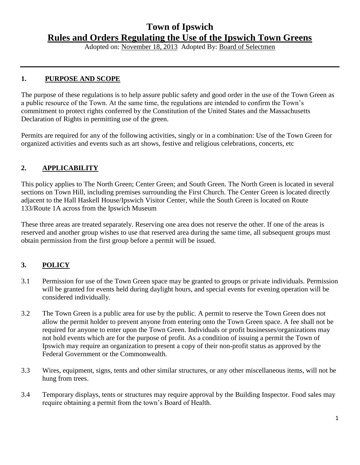# **Town of Ipswich Rules and Orders Regulating the Use of the Ipswich Town Greens**

Adopted on: November 18, 2013 Adopted By: Board of Selectmen

#### **1. PURPOSE AND SCOPE**

The purpose of these regulations is to help assure public safety and good order in the use of the Town Green as a public resource of the Town. At the same time, the regulations are intended to confirm the Town's commitment to protect rights conferred by the Constitution of the United States and the Massachusetts Declaration of Rights in permitting use of the green.

Permits are required for any of the following activities, singly or in a combination: Use of the Town Green for organized activities and events such as art shows, festive and religious celebrations, concerts, etc

#### **2. APPLICABILITY**

This policy applies to The North Green; Center Green; and South Green. The North Green is located in several sections on Town Hill, including premises surrounding the First Church. The Center Green is located directly adjacent to the Hall Haskell House/Ipswich Visitor Center, while the South Green is located on Route 133/Route 1A across from the Ipswich Museum

These three areas are treated separately. Reserving one area does not reserve the other. If one of the areas is reserved and another group wishes to use that reserved area during the same time, all subsequent groups must obtain permission from the first group before a permit will be issued.

## **3. POLICY**

- 3.1 Permission for use of the Town Green space may be granted to groups or private individuals. Permission will be granted for events held during daylight hours, and special events for evening operation will be considered individually.
- 3.2 The Town Green is a public area for use by the public. A permit to reserve the Town Green does not allow the permit holder to prevent anyone from entering onto the Town Green space. A fee shall not be required for anyone to enter upon the Town Green. Individuals or profit businesses/organizations may not hold events which are for the purpose of profit. As a condition of issuing a permit the Town of Ipswich may require an organization to present a copy of their non-profit status as approved by the Federal Government or the Commonwealth.
- 3.3 Wires, equipment, signs, tents and other similar structures, or any other miscellaneous items, will not be hung from trees.
- 3.4 Temporary displays, tents or structures may require approval by the Building Inspector. Food sales may require obtaining a permit from the town's Board of Health.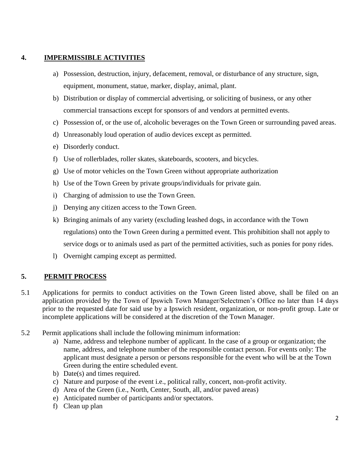#### **4. IMPERMISSIBLE ACTIVITIES**

- a) Possession, destruction, injury, defacement, removal, or disturbance of any structure, sign, equipment, monument, statue, marker, display, animal, plant.
- b) Distribution or display of commercial advertising, or soliciting of business, or any other commercial transactions except for sponsors of and vendors at permitted events.
- c) Possession of, or the use of, alcoholic beverages on the Town Green or surrounding paved areas.
- d) Unreasonably loud operation of audio devices except as permitted.
- e) Disorderly conduct.
- f) Use of rollerblades, roller skates, skateboards, scooters, and bicycles.
- g) Use of motor vehicles on the Town Green without appropriate authorization
- h) Use of the Town Green by private groups/individuals for private gain.
- i) Charging of admission to use the Town Green.
- j) Denying any citizen access to the Town Green.
- k) Bringing animals of any variety (excluding leashed dogs, in accordance with the Town regulations) onto the Town Green during a permitted event. This prohibition shall not apply to service dogs or to animals used as part of the permitted activities, such as ponies for pony rides.
- l) Overnight camping except as permitted.

### **5. PERMIT PROCESS**

- 5.1 Applications for permits to conduct activities on the Town Green listed above, shall be filed on an application provided by the Town of Ipswich Town Manager/Selectmen's Office no later than 14 days prior to the requested date for said use by a Ipswich resident, organization, or non-profit group. Late or incomplete applications will be considered at the discretion of the Town Manager.
- 5.2 Permit applications shall include the following minimum information:
	- a) Name, address and telephone number of applicant. In the case of a group or organization; the name, address, and telephone number of the responsible contact person. For events only: The applicant must designate a person or persons responsible for the event who will be at the Town Green during the entire scheduled event.
	- b) Date(s) and times required.
	- c) Nature and purpose of the event i.e., political rally, concert, non-profit activity.
	- d) Area of the Green (i.e., North, Center, South, all, and/or paved areas)
	- e) Anticipated number of participants and/or spectators.
	- f) Clean up plan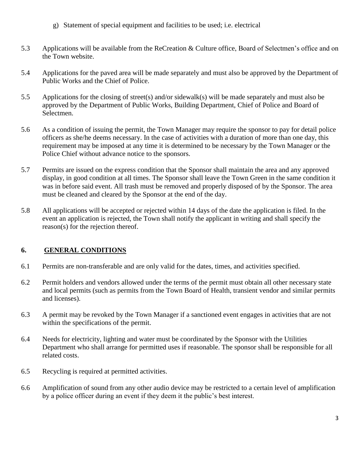- g) Statement of special equipment and facilities to be used; i.e. electrical
- 5.3 Applications will be available from the ReCreation & Culture office, Board of Selectmen's office and on the Town website.
- 5.4 Applications for the paved area will be made separately and must also be approved by the Department of Public Works and the Chief of Police.
- 5.5 Applications for the closing of street(s) and/or sidewalk(s) will be made separately and must also be approved by the Department of Public Works, Building Department, Chief of Police and Board of Selectmen.
- 5.6 As a condition of issuing the permit, the Town Manager may require the sponsor to pay for detail police officers as she/he deems necessary. In the case of activities with a duration of more than one day, this requirement may be imposed at any time it is determined to be necessary by the Town Manager or the Police Chief without advance notice to the sponsors.
- 5.7 Permits are issued on the express condition that the Sponsor shall maintain the area and any approved display, in good condition at all times. The Sponsor shall leave the Town Green in the same condition it was in before said event. All trash must be removed and properly disposed of by the Sponsor. The area must be cleaned and cleared by the Sponsor at the end of the day.
- 5.8 All applications will be accepted or rejected within 14 days of the date the application is filed. In the event an application is rejected, the Town shall notify the applicant in writing and shall specify the reason(s) for the rejection thereof.

## **6. GENERAL CONDITIONS**

- 6.1 Permits are non-transferable and are only valid for the dates, times, and activities specified.
- 6.2 Permit holders and vendors allowed under the terms of the permit must obtain all other necessary state and local permits (such as permits from the Town Board of Health, transient vendor and similar permits and licenses).
- 6.3 A permit may be revoked by the Town Manager if a sanctioned event engages in activities that are not within the specifications of the permit.
- 6.4 Needs for electricity, lighting and water must be coordinated by the Sponsor with the Utilities Department who shall arrange for permitted uses if reasonable. The sponsor shall be responsible for all related costs.
- 6.5 Recycling is required at permitted activities.
- 6.6 Amplification of sound from any other audio device may be restricted to a certain level of amplification by a police officer during an event if they deem it the public's best interest.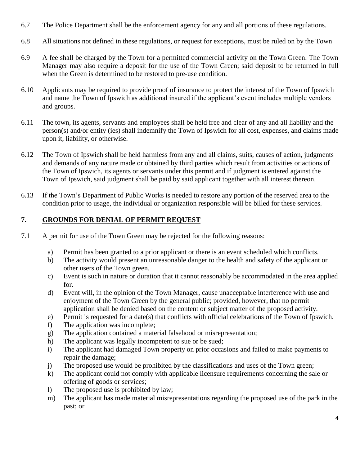- 6.7 The Police Department shall be the enforcement agency for any and all portions of these regulations.
- 6.8 All situations not defined in these regulations, or request for exceptions, must be ruled on by the Town
- 6.9 A fee shall be charged by the Town for a permitted commercial activity on the Town Green. The Town Manager may also require a deposit for the use of the Town Green; said deposit to be returned in full when the Green is determined to be restored to pre-use condition.
- 6.10 Applicants may be required to provide proof of insurance to protect the interest of the Town of Ipswich and name the Town of Ipswich as additional insured if the applicant's event includes multiple vendors and groups.
- 6.11 The town, its agents, servants and employees shall be held free and clear of any and all liability and the person(s) and/or entity (ies) shall indemnify the Town of Ipswich for all cost, expenses, and claims made upon it, liability, or otherwise.
- 6.12 The Town of Ipswich shall be held harmless from any and all claims, suits, causes of action, judgments and demands of any nature made or obtained by third parties which result from activities or actions of the Town of Ipswich, its agents or servants under this permit and if judgment is entered against the Town of Ipswich, said judgment shall be paid by said applicant together with all interest thereon.
- 6.13 If the Town's Department of Public Works is needed to restore any portion of the reserved area to the condition prior to usage, the individual or organization responsible will be billed for these services.

# **7. GROUNDS FOR DENIAL OF PERMIT REQUEST**

- 7.1 A permit for use of the Town Green may be rejected for the following reasons:
	- a) Permit has been granted to a prior applicant or there is an event scheduled which conflicts.
	- b) The activity would present an unreasonable danger to the health and safety of the applicant or other users of the Town green.
	- c) Event is such in nature or duration that it cannot reasonably be accommodated in the area applied for.
	- d) Event will, in the opinion of the Town Manager, cause unacceptable interference with use and enjoyment of the Town Green by the general public; provided, however, that no permit application shall be denied based on the content or subject matter of the proposed activity.
	- e) Permit is requested for a date(s) that conflicts with official celebrations of the Town of Ipswich.
	- f) The application was incomplete;
	- g) The application contained a material falsehood or misrepresentation;
	- h) The applicant was legally incompetent to sue or be sued;
	- i) The applicant had damaged Town property on prior occasions and failed to make payments to repair the damage;
	- j) The proposed use would be prohibited by the classifications and uses of the Town green;
	- k) The applicant could not comply with applicable licensure requirements concerning the sale or offering of goods or services;
	- l) The proposed use is prohibited by law;
	- m) The applicant has made material misrepresentations regarding the proposed use of the park in the past; or